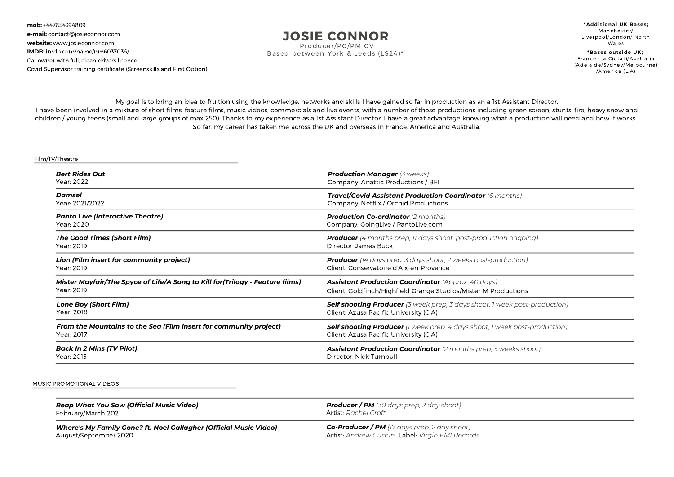**mob:** +447854394809 **e-mail:** contact@josieconnor.com **website:** www.josieconnor.com **IMDB:** imdb.com/name/nm6037036/ Car owner with full, clean drivers licence Covid Supervisor training certificate (Screenskills and First Option)

## **JOSIE CONNOR**

Producer/PC/PM CV Based between York & Leeds (LS24)\*

**\*Addi t ional UK Bases;** Manchester/ Liverpool/London/ North Wales

**\*Bases outside UK;** France (La Ciotat)/Australia (Adelaide/Sydney/Melbourne) /America (L.A)

My goal is to bring an idea to fruition using the knowledge, networks and skills I have gained so far in production as an a 1st Assistant Director. I have been involved in a mixture of short films, feature films, music videos, commercials and live events, with a number of those productions including green screen, stunts, fire, heavy snow and children / young teens (small and large groups of max 250). Thanks to my experience as a 1st Assistant Director, I have a great advantage knowing what a production will need and how it works. So far, my career has taken me across the UK and overseas in France, America and Australia.

## Film/TV/Theatre

| <b>Bert Rides Out</b>                                                         | <b>Production Manager (3 weeks)</b>                                               |
|-------------------------------------------------------------------------------|-----------------------------------------------------------------------------------|
| Year: 2022                                                                    | Company: Anattic Productions / BFI                                                |
| Damsel                                                                        | Travel/Covid Assistant Production Coordinator (6 months)                          |
| Year: 2021/2022                                                               | Company: Netflix / Orchid Productions                                             |
| <b>Panto Live (Interactive Theatre)</b>                                       | <b>Production Co-ordinator</b> (2 months)                                         |
| Year: 2020                                                                    | Company: GoingLive / PantoLive.com                                                |
| The Good Times (Short Film)                                                   | <b>Producer</b> (4 months prep, 11 days shoot, post-production ongoing)           |
| Year: 2019                                                                    | Director: James Buck                                                              |
| Lion (Film insert for community project)                                      | <b>Producer</b> (14 days prep, 3 days shoot, 2 weeks post-production)             |
| Year: 2019                                                                    | Client: Conservatoire d'Aix-en-Provence                                           |
| Mister Mayfair/The Spyce of Life/A Song to Kill for (Trilogy - Feature films) | <b>Assistant Production Coordinator (Approx. 40 days)</b>                         |
| Year: 2019                                                                    | Client: Goldfinch/Highfield Grange Studios/Mister M Productions                   |
| <b>Lone Boy (Short Film)</b>                                                  | <b>Self shooting Producer</b> (3 week prep, 3 days shoot, 1 week post-production) |
| Year: 2018                                                                    | Client: Azusa Pacific University (C.A)                                            |
| From the Mountains to the Sea (Film insert for community project)             | <b>Self shooting Producer</b> (1 week prep, 4 days shoot, 1 week post-production) |
| Year: 2017                                                                    | Client: Azusa Pacific University (C.A)                                            |
| <b>Back In 2 Mins (TV Pilot)</b>                                              | <b>Assistant Production Coordinator</b> (2 months prep, 3 weeks shoot)            |
| Year: 2015                                                                    | Director: Nick Turnbull                                                           |

## MUSIC PROMOTIONAL VIDEOS

| Reap What You Sow (Official Music Video)                          | <b>Producer / PM</b> (30 days prep, 2 day shoot)                             |
|-------------------------------------------------------------------|------------------------------------------------------------------------------|
| February/March 2021                                               | Artist: Rachel Croft                                                         |
| Where's My Family Gone? ft. Noel Gallagher (Official Music Video) | $Co\text{-}\mathsf{Producter}\,/\,\mathsf{PM}\,($ 17 days prep, 2 day shoot) |
| August/September 2020                                             | Artist: Andrew Cushin Label: Virgin EMI Records                              |